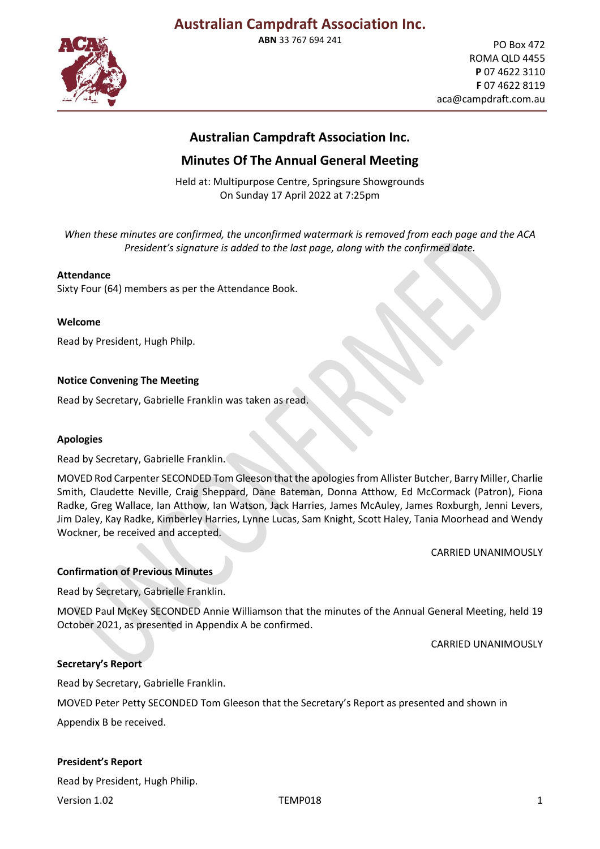**ABN** 33 767 694 241



PO Box 472 ROMA QLD 4455 **P** 07 4622 3110 **F** 07 4622 8119 aca@campdraft.com.au

## **Australian Campdraft Association Inc.**

## **Minutes Of The Annual General Meeting**

Held at: Multipurpose Centre, Springsure Showgrounds On Sunday 17 April 2022 at 7:25pm

*When these minutes are confirmed, the unconfirmed watermark is removed from each page and the ACA President's signature is added to the last page, along with the confirmed date.*

## **Attendance**

Sixty Four (64) members as per the Attendance Book.

### **Welcome**

Read by President, Hugh Philp.

## **Notice Convening The Meeting**

Read by Secretary, Gabrielle Franklin was taken as read.

### **Apologies**

Read by Secretary, Gabrielle Franklin.

MOVED Rod Carpenter SECONDED Tom Gleeson that the apologies from Allister Butcher, Barry Miller, Charlie Smith, Claudette Neville, Craig Sheppard, Dane Bateman, Donna Atthow, Ed McCormack (Patron), Fiona Radke, Greg Wallace, Ian Atthow, Ian Watson, Jack Harries, James McAuley, James Roxburgh, Jenni Levers, Jim Daley, Kay Radke, Kimberley Harries, Lynne Lucas, Sam Knight, Scott Haley, Tania Moorhead and Wendy Wockner, be received and accepted.

CARRIED UNANIMOUSLY

### **Confirmation of Previous Minutes**

Read by Secretary, Gabrielle Franklin.

MOVED Paul McKey SECONDED Annie Williamson that the minutes of the Annual General Meeting, held 19 October 2021, as presented in Appendix A be confirmed.

CARRIED UNANIMOUSLY

### **Secretary's Report**

Read by Secretary, Gabrielle Franklin.

MOVED Peter Petty SECONDED Tom Gleeson that the Secretary's Report as presented and shown in

Appendix B be received.

### **President's Report**

Read by President, Hugh Philip.

Version 1.02 and the contract of the TEMP018 and the contract of the contract of the contract of the contract of the contract of the contract of the contract of the contract of the contract of the contract of the contract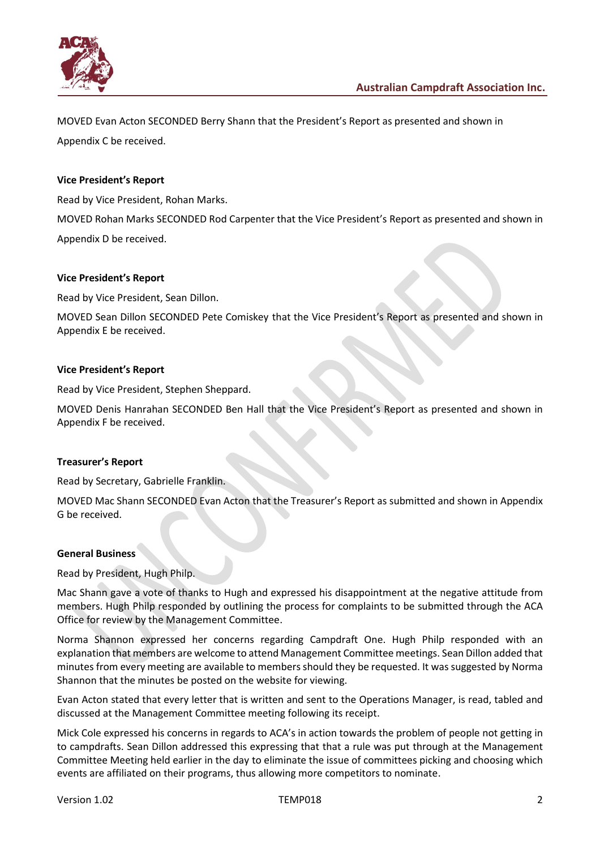

MOVED Evan Acton SECONDED Berry Shann that the President's Report as presented and shown in

Appendix C be received.

## **Vice President's Report**

Read by Vice President, Rohan Marks.

MOVED Rohan Marks SECONDED Rod Carpenter that the Vice President's Report as presented and shown in Appendix D be received.

## **Vice President's Report**

Read by Vice President, Sean Dillon.

MOVED Sean Dillon SECONDED Pete Comiskey that the Vice President's Report as presented and shown in Appendix E be received.

### **Vice President's Report**

Read by Vice President, Stephen Sheppard.

MOVED Denis Hanrahan SECONDED Ben Hall that the Vice President's Report as presented and shown in Appendix F be received.

### **Treasurer's Report**

Read by Secretary, Gabrielle Franklin.

MOVED Mac Shann SECONDED Evan Acton that the Treasurer's Report as submitted and shown in Appendix G be received.

### **General Business**

Read by President, Hugh Philp.

Mac Shann gave a vote of thanks to Hugh and expressed his disappointment at the negative attitude from members. Hugh Philp responded by outlining the process for complaints to be submitted through the ACA Office for review by the Management Committee.

Norma Shannon expressed her concerns regarding Campdraft One. Hugh Philp responded with an explanation that members are welcome to attend Management Committee meetings. Sean Dillon added that minutes from every meeting are available to membersshould they be requested. It was suggested by Norma Shannon that the minutes be posted on the website for viewing.

Evan Acton stated that every letter that is written and sent to the Operations Manager, is read, tabled and discussed at the Management Committee meeting following its receipt.

Mick Cole expressed his concerns in regards to ACA's in action towards the problem of people not getting in to campdrafts. Sean Dillon addressed this expressing that that a rule was put through at the Management Committee Meeting held earlier in the day to eliminate the issue of committees picking and choosing which events are affiliated on their programs, thus allowing more competitors to nominate.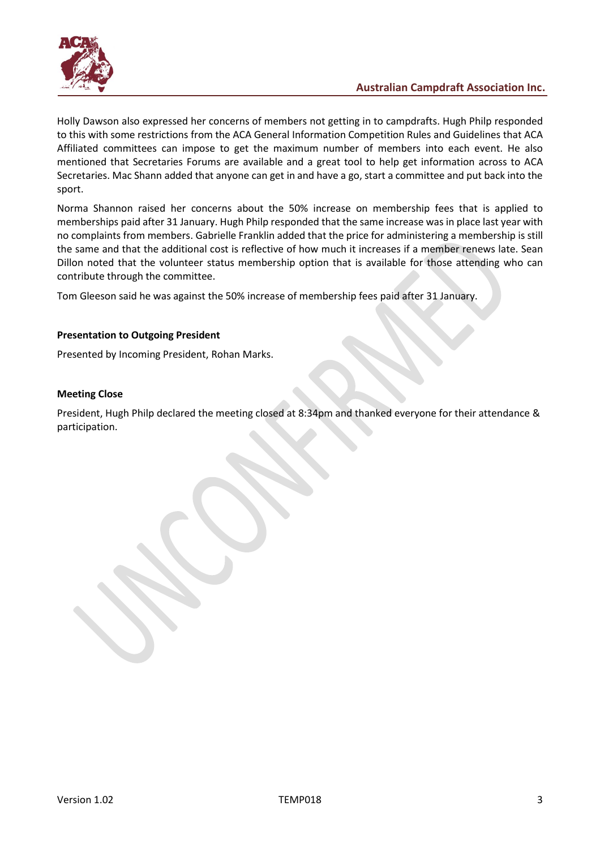

Holly Dawson also expressed her concerns of members not getting in to campdrafts. Hugh Philp responded to this with some restrictions from the ACA General Information Competition Rules and Guidelines that ACA Affiliated committees can impose to get the maximum number of members into each event. He also mentioned that Secretaries Forums are available and a great tool to help get information across to ACA Secretaries. Mac Shann added that anyone can get in and have a go, start a committee and put back into the sport.

Norma Shannon raised her concerns about the 50% increase on membership fees that is applied to memberships paid after 31 January. Hugh Philp responded that the same increase was in place last year with no complaints from members. Gabrielle Franklin added that the price for administering a membership is still the same and that the additional cost is reflective of how much it increases if a member renews late. Sean Dillon noted that the volunteer status membership option that is available for those attending who can contribute through the committee.

Tom Gleeson said he was against the 50% increase of membership fees paid after 31 January.

## **Presentation to Outgoing President**

Presented by Incoming President, Rohan Marks.

### **Meeting Close**

President, Hugh Philp declared the meeting closed at 8:34pm and thanked everyone for their attendance & participation.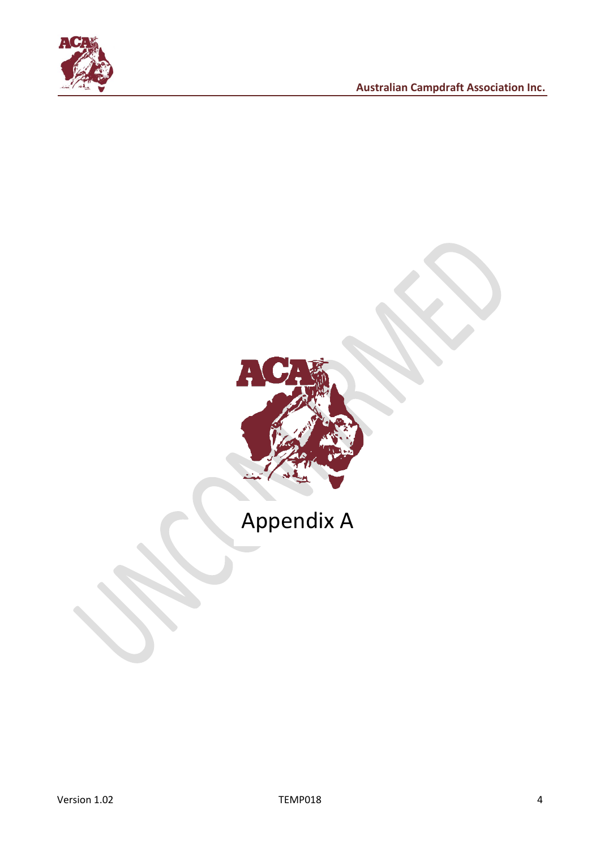



# Appendix A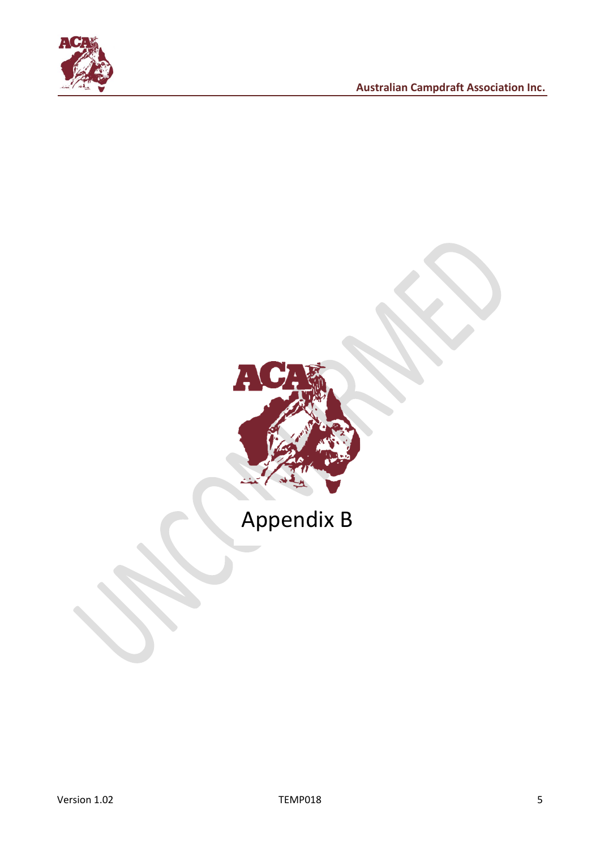



## Appendix B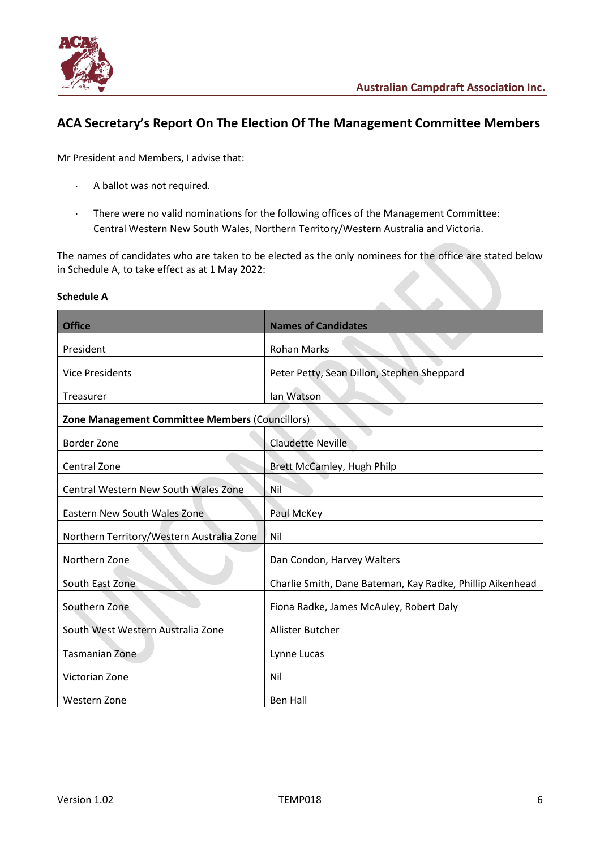

## **ACA Secretary's Report On The Election Of The Management Committee Members**

Mr President and Members, I advise that:

- A ballot was not required.
- There were no valid nominations for the following offices of the Management Committee: Central Western New South Wales, Northern Territory/Western Australia and Victoria.

The names of candidates who are taken to be elected as the only nominees for the office are stated below in Schedule A, to take effect as at 1 May 2022:

| <b>Office</b>                                                                                                                                            | <b>Names of Candidates</b>                                                                                                                                                                             |
|----------------------------------------------------------------------------------------------------------------------------------------------------------|--------------------------------------------------------------------------------------------------------------------------------------------------------------------------------------------------------|
| President                                                                                                                                                | <b>Rohan Marks</b>                                                                                                                                                                                     |
| <b>Vice Presidents</b>                                                                                                                                   | Peter Petty, Sean Dillon, Stephen Sheppard                                                                                                                                                             |
| <b>Treasurer</b>                                                                                                                                         | Ian Watson                                                                                                                                                                                             |
| <b>Zone Management Committee Members (Councillors)</b>                                                                                                   |                                                                                                                                                                                                        |
| <b>Border Zone</b>                                                                                                                                       | <b>Claudette Neville</b>                                                                                                                                                                               |
| Central Zone                                                                                                                                             | Brett McCamley, Hugh Philp                                                                                                                                                                             |
| Central Western New South Wales Zone                                                                                                                     | Nil                                                                                                                                                                                                    |
| Eastern New South Wales Zone                                                                                                                             | Paul McKey                                                                                                                                                                                             |
| Northern Territory/Western Australia Zone                                                                                                                | Nil                                                                                                                                                                                                    |
|                                                                                                                                                          |                                                                                                                                                                                                        |
|                                                                                                                                                          |                                                                                                                                                                                                        |
|                                                                                                                                                          |                                                                                                                                                                                                        |
|                                                                                                                                                          |                                                                                                                                                                                                        |
|                                                                                                                                                          |                                                                                                                                                                                                        |
|                                                                                                                                                          |                                                                                                                                                                                                        |
|                                                                                                                                                          |                                                                                                                                                                                                        |
| Northern Zone<br>South East Zone<br>Southern Zone<br>South West Western Australia Zone<br><b>Tasmanian Zone</b><br>Victorian Zone<br><b>Western Zone</b> | Dan Condon, Harvey Walters<br>Charlie Smith, Dane Bateman, Kay Radke, Phillip Aikenhead<br>Fiona Radke, James McAuley, Robert Daly<br><b>Allister Butcher</b><br>Lynne Lucas<br>Nil<br><b>Ben Hall</b> |

#### **Schedule A**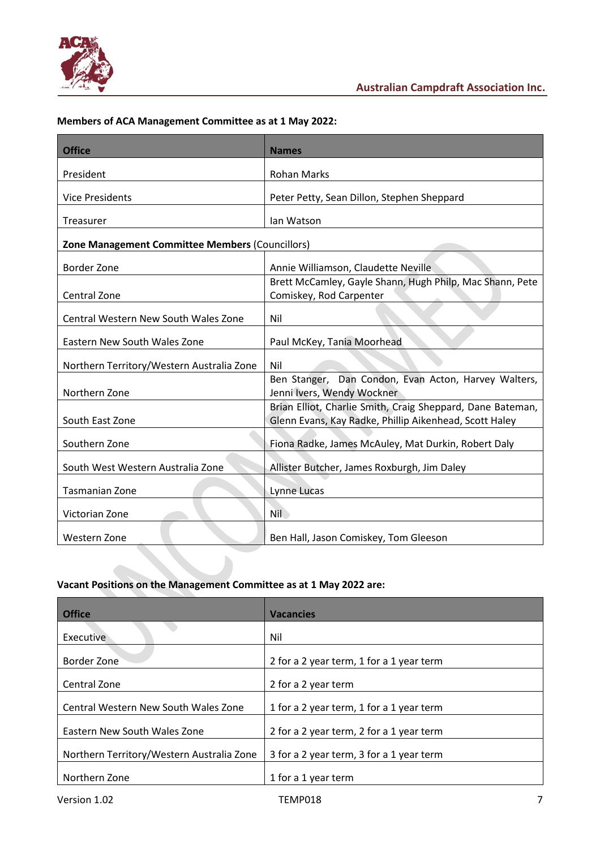

## **Members of ACA Management Committee as at 1 May 2022:**

| <b>Office</b>                                   | <b>Names</b>                                                                                                         |
|-------------------------------------------------|----------------------------------------------------------------------------------------------------------------------|
| President                                       | <b>Rohan Marks</b>                                                                                                   |
| <b>Vice Presidents</b>                          | Peter Petty, Sean Dillon, Stephen Sheppard                                                                           |
| Treasurer                                       | Ian Watson                                                                                                           |
| Zone Management Committee Members (Councillors) |                                                                                                                      |
| Border Zone                                     | Annie Williamson, Claudette Neville                                                                                  |
| Central Zone                                    | Brett McCamley, Gayle Shann, Hugh Philp, Mac Shann, Pete<br>Comiskey, Rod Carpenter                                  |
| Central Western New South Wales Zone            | Nil                                                                                                                  |
| Eastern New South Wales Zone                    | Paul McKey, Tania Moorhead                                                                                           |
| Northern Territory/Western Australia Zone       | Nil                                                                                                                  |
| Northern Zone                                   | Ben Stanger, Dan Condon, Evan Acton, Harvey Walters,<br>Jenni Ivers, Wendy Wockner                                   |
| South East Zone                                 | Brian Elliot, Charlie Smith, Craig Sheppard, Dane Bateman,<br>Glenn Evans, Kay Radke, Phillip Aikenhead, Scott Haley |
| Southern Zone                                   | Fiona Radke, James McAuley, Mat Durkin, Robert Daly                                                                  |
| South West Western Australia Zone               | Allister Butcher, James Roxburgh, Jim Daley                                                                          |
| <b>Tasmanian Zone</b>                           | Lynne Lucas                                                                                                          |
| Victorian Zone                                  | <b>Nil</b>                                                                                                           |
| Western Zone                                    | Ben Hall, Jason Comiskey, Tom Gleeson                                                                                |

## **Vacant Positions on the Management Committee as at 1 May 2022 are:**

| <b>Office</b>                             | <b>Vacancies</b>                         |
|-------------------------------------------|------------------------------------------|
| Executive                                 | Nil                                      |
| Border Zone                               | 2 for a 2 year term, 1 for a 1 year term |
| Central Zone                              | 2 for a 2 year term                      |
| Central Western New South Wales Zone      | 1 for a 2 year term, 1 for a 1 year term |
| Eastern New South Wales Zone              | 2 for a 2 year term, 2 for a 1 year term |
| Northern Territory/Western Australia Zone | 3 for a 2 year term, 3 for a 1 year term |
| Northern Zone                             | 1 for a 1 year term                      |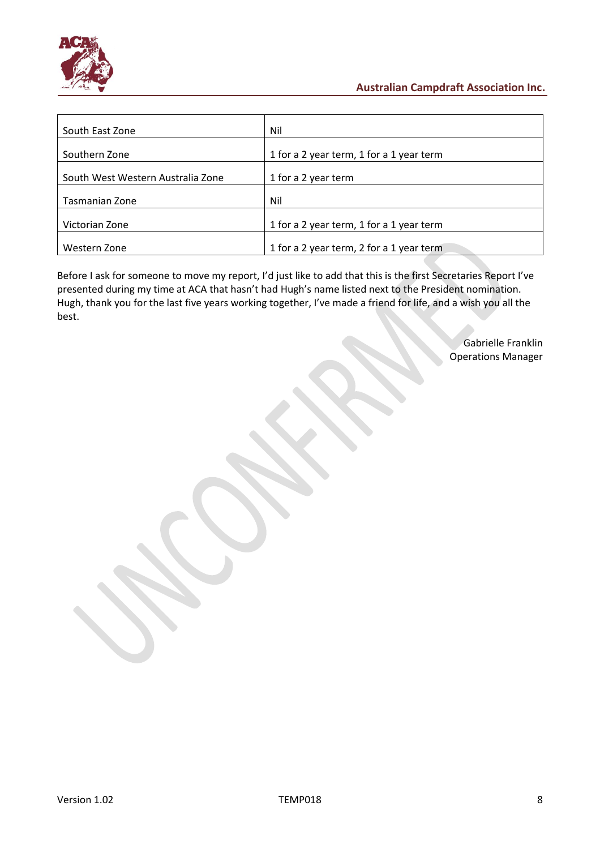

| South East Zone                   | Nil                                      |
|-----------------------------------|------------------------------------------|
| Southern Zone                     | 1 for a 2 year term, 1 for a 1 year term |
| South West Western Australia Zone | 1 for a 2 year term                      |
| Tasmanian Zone                    | Nil                                      |
| Victorian Zone                    | 1 for a 2 year term, 1 for a 1 year term |
| Western Zone                      | 1 for a 2 year term, 2 for a 1 year term |

Before I ask for someone to move my report, I'd just like to add that this is the first Secretaries Report I've presented during my time at ACA that hasn't had Hugh's name listed next to the President nomination. Hugh, thank you for the last five years working together, I've made a friend for life, and a wish you all the best.

> Gabrielle Franklin Operations Manager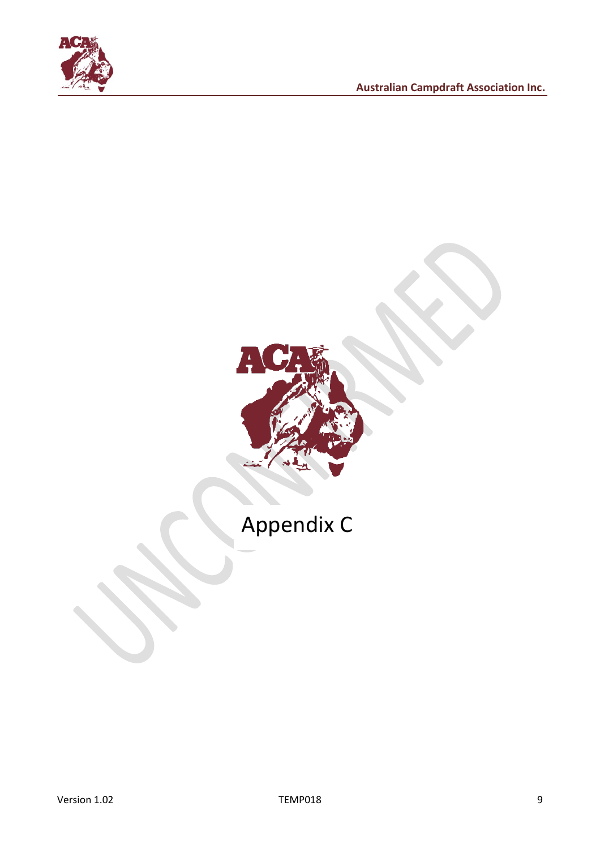



# Appendix C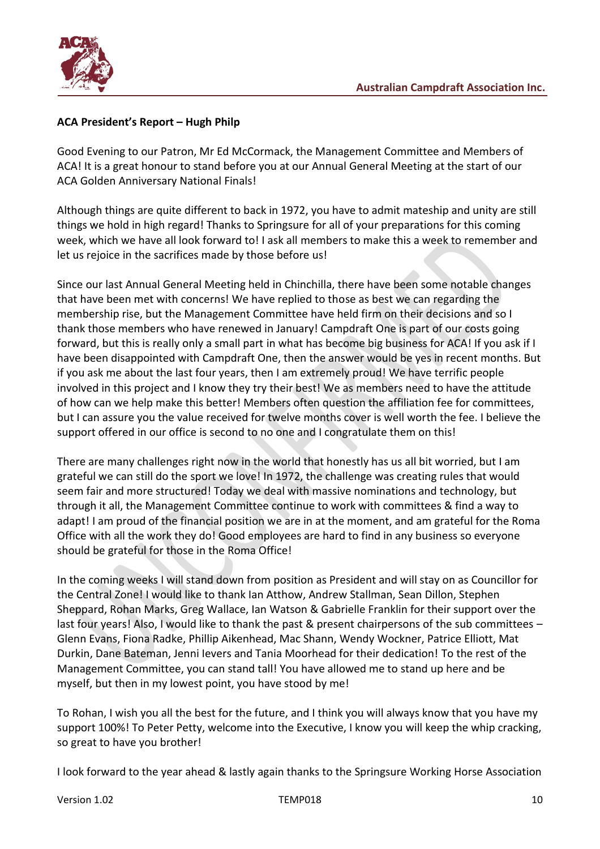

## **ACA President's Report – Hugh Philp**

Good Evening to our Patron, Mr Ed McCormack, the Management Committee and Members of ACA! It is a great honour to stand before you at our Annual General Meeting at the start of our ACA Golden Anniversary National Finals!

Although things are quite different to back in 1972, you have to admit mateship and unity are still things we hold in high regard! Thanks to Springsure for all of your preparations for this coming week, which we have all look forward to! I ask all members to make this a week to remember and let us rejoice in the sacrifices made by those before us!

Since our last Annual General Meeting held in Chinchilla, there have been some notable changes that have been met with concerns! We have replied to those as best we can regarding the membership rise, but the Management Committee have held firm on their decisions and so I thank those members who have renewed in January! Campdraft One is part of our costs going forward, but this is really only a small part in what has become big business for ACA! If you ask if I have been disappointed with Campdraft One, then the answer would be yes in recent months. But if you ask me about the last four years, then I am extremely proud! We have terrific people involved in this project and I know they try their best! We as members need to have the attitude of how can we help make this better! Members often question the affiliation fee for committees, but I can assure you the value received for twelve months cover is well worth the fee. I believe the support offered in our office is second to no one and I congratulate them on this!

There are many challenges right now in the world that honestly has us all bit worried, but I am grateful we can still do the sport we love! In 1972, the challenge was creating rules that would seem fair and more structured! Today we deal with massive nominations and technology, but through it all, the Management Committee continue to work with committees & find a way to adapt! I am proud of the financial position we are in at the moment, and am grateful for the Roma Office with all the work they do! Good employees are hard to find in any business so everyone should be grateful for those in the Roma Office!

In the coming weeks I will stand down from position as President and will stay on as Councillor for the Central Zone! I would like to thank Ian Atthow, Andrew Stallman, Sean Dillon, Stephen Sheppard, Rohan Marks, Greg Wallace, Ian Watson & Gabrielle Franklin for their support over the last four years! Also, I would like to thank the past & present chairpersons of the sub committees – Glenn Evans, Fiona Radke, Phillip Aikenhead, Mac Shann, Wendy Wockner, Patrice Elliott, Mat Durkin, Dane Bateman, Jenni Ievers and Tania Moorhead for their dedication! To the rest of the Management Committee, you can stand tall! You have allowed me to stand up here and be myself, but then in my lowest point, you have stood by me!

To Rohan, I wish you all the best for the future, and I think you will always know that you have my support 100%! To Peter Petty, welcome into the Executive, I know you will keep the whip cracking, so great to have you brother!

I look forward to the year ahead & lastly again thanks to the Springsure Working Horse Association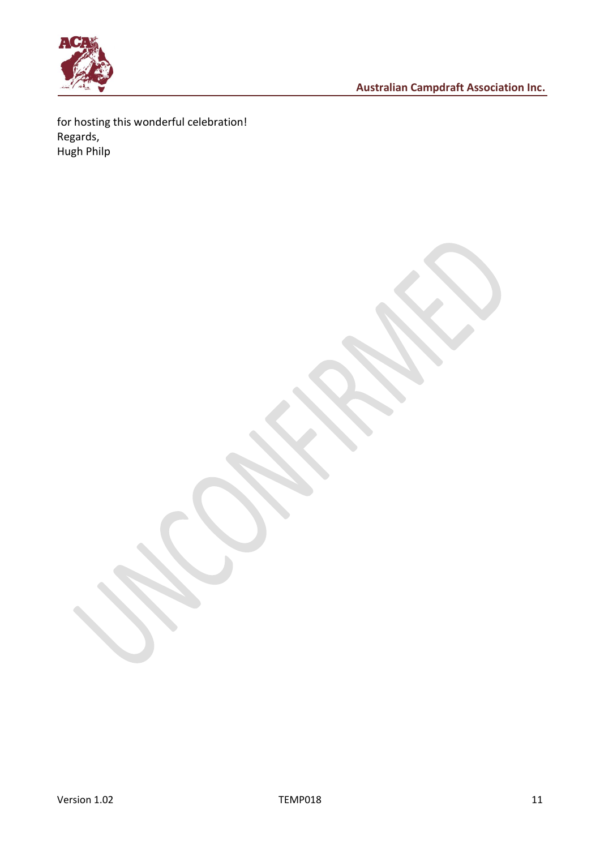

for hosting this wonderful celebration! Regards, Hugh Philp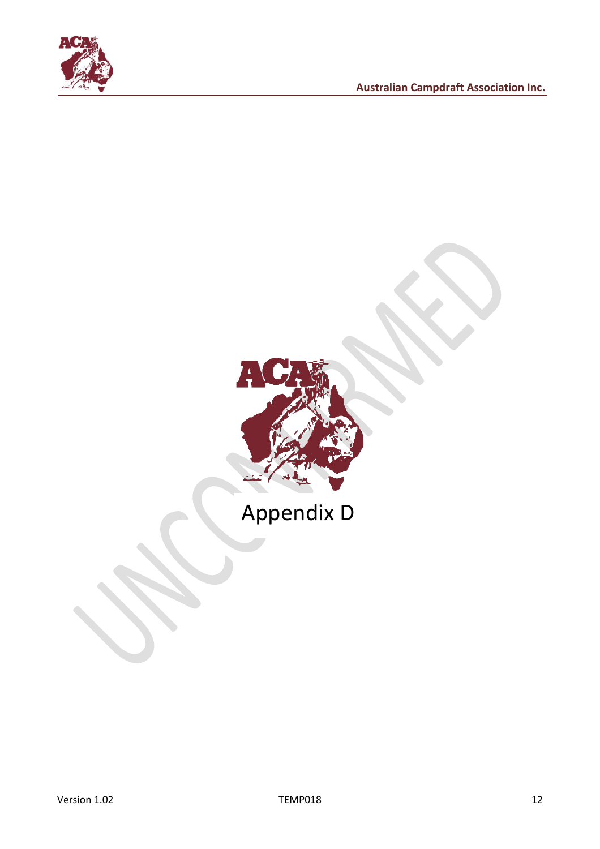



## Appendix D

Version 1.02 12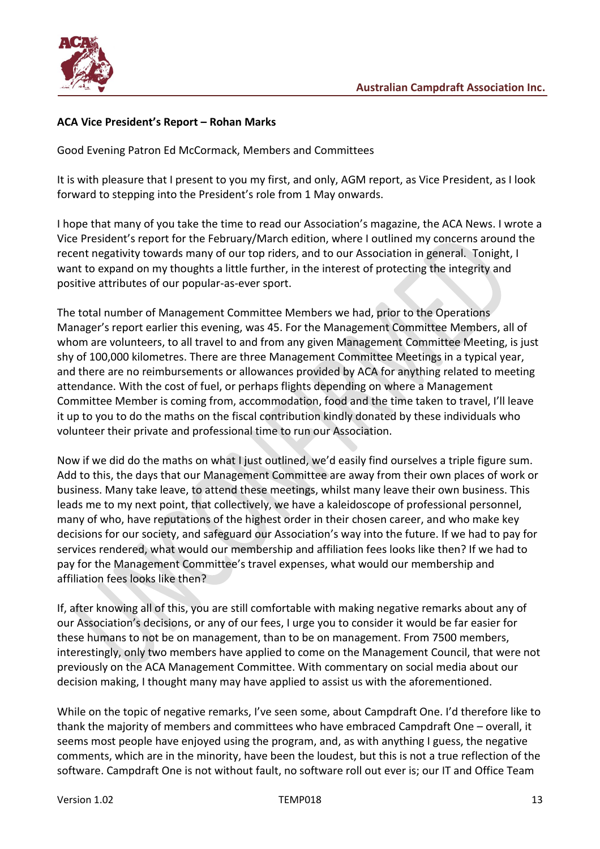

## **ACA Vice President's Report – Rohan Marks**

Good Evening Patron Ed McCormack, Members and Committees

It is with pleasure that I present to you my first, and only, AGM report, as Vice President, as I look forward to stepping into the President's role from 1 May onwards.

I hope that many of you take the time to read our Association's magazine, the ACA News. I wrote a Vice President's report for the February/March edition, where I outlined my concerns around the recent negativity towards many of our top riders, and to our Association in general. Tonight, I want to expand on my thoughts a little further, in the interest of protecting the integrity and positive attributes of our popular-as-ever sport.

The total number of Management Committee Members we had, prior to the Operations Manager's report earlier this evening, was 45. For the Management Committee Members, all of whom are volunteers, to all travel to and from any given Management Committee Meeting, is just shy of 100,000 kilometres. There are three Management Committee Meetings in a typical year, and there are no reimbursements or allowances provided by ACA for anything related to meeting attendance. With the cost of fuel, or perhaps flights depending on where a Management Committee Member is coming from, accommodation, food and the time taken to travel, I'll leave it up to you to do the maths on the fiscal contribution kindly donated by these individuals who volunteer their private and professional time to run our Association.

Now if we did do the maths on what I just outlined, we'd easily find ourselves a triple figure sum. Add to this, the days that our Management Committee are away from their own places of work or business. Many take leave, to attend these meetings, whilst many leave their own business. This leads me to my next point, that collectively, we have a kaleidoscope of professional personnel, many of who, have reputations of the highest order in their chosen career, and who make key decisions for our society, and safeguard our Association's way into the future. If we had to pay for services rendered, what would our membership and affiliation fees looks like then? If we had to pay for the Management Committee's travel expenses, what would our membership and affiliation fees looks like then?

If, after knowing all of this, you are still comfortable with making negative remarks about any of our Association's decisions, or any of our fees, I urge you to consider it would be far easier for these humans to not be on management, than to be on management. From 7500 members, interestingly, only two members have applied to come on the Management Council, that were not previously on the ACA Management Committee. With commentary on social media about our decision making, I thought many may have applied to assist us with the aforementioned.

While on the topic of negative remarks, I've seen some, about Campdraft One. I'd therefore like to thank the majority of members and committees who have embraced Campdraft One – overall, it seems most people have enjoyed using the program, and, as with anything I guess, the negative comments, which are in the minority, have been the loudest, but this is not a true reflection of the software. Campdraft One is not without fault, no software roll out ever is; our IT and Office Team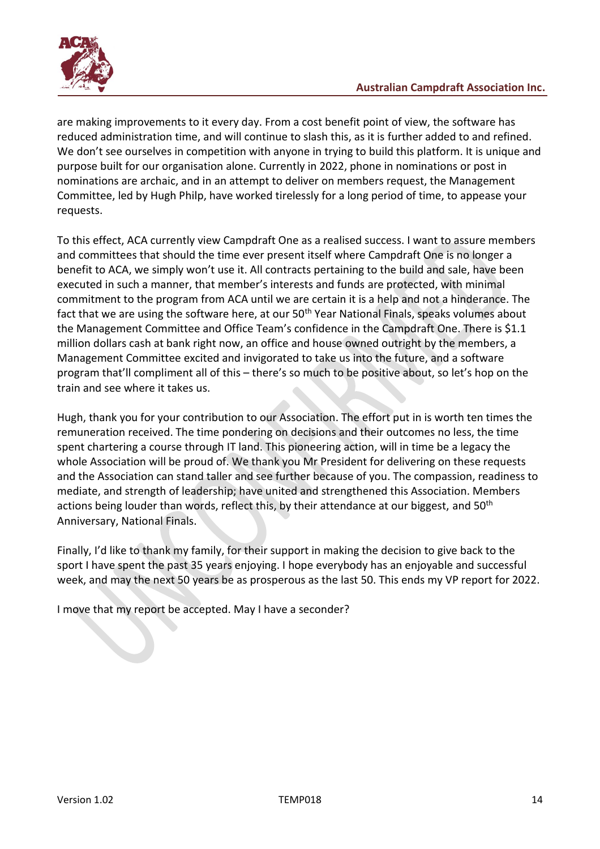

are making improvements to it every day. From a cost benefit point of view, the software has reduced administration time, and will continue to slash this, as it is further added to and refined. We don't see ourselves in competition with anyone in trying to build this platform. It is unique and purpose built for our organisation alone. Currently in 2022, phone in nominations or post in nominations are archaic, and in an attempt to deliver on members request, the Management Committee, led by Hugh Philp, have worked tirelessly for a long period of time, to appease your requests.

To this effect, ACA currently view Campdraft One as a realised success. I want to assure members and committees that should the time ever present itself where Campdraft One is no longer a benefit to ACA, we simply won't use it. All contracts pertaining to the build and sale, have been executed in such a manner, that member's interests and funds are protected, with minimal commitment to the program from ACA until we are certain it is a help and not a hinderance. The fact that we are using the software here, at our 50<sup>th</sup> Year National Finals, speaks volumes about the Management Committee and Office Team's confidence in the Campdraft One. There is \$1.1 million dollars cash at bank right now, an office and house owned outright by the members, a Management Committee excited and invigorated to take us into the future, and a software program that'll compliment all of this – there's so much to be positive about, so let's hop on the train and see where it takes us.

Hugh, thank you for your contribution to our Association. The effort put in is worth ten times the remuneration received. The time pondering on decisions and their outcomes no less, the time spent chartering a course through IT land. This pioneering action, will in time be a legacy the whole Association will be proud of. We thank you Mr President for delivering on these requests and the Association can stand taller and see further because of you. The compassion, readiness to mediate, and strength of leadership; have united and strengthened this Association. Members actions being louder than words, reflect this, by their attendance at our biggest, and 50<sup>th</sup> Anniversary, National Finals.

Finally, I'd like to thank my family, for their support in making the decision to give back to the sport I have spent the past 35 years enjoying. I hope everybody has an enjoyable and successful week, and may the next 50 years be as prosperous as the last 50. This ends my VP report for 2022.

I move that my report be accepted. May I have a seconder?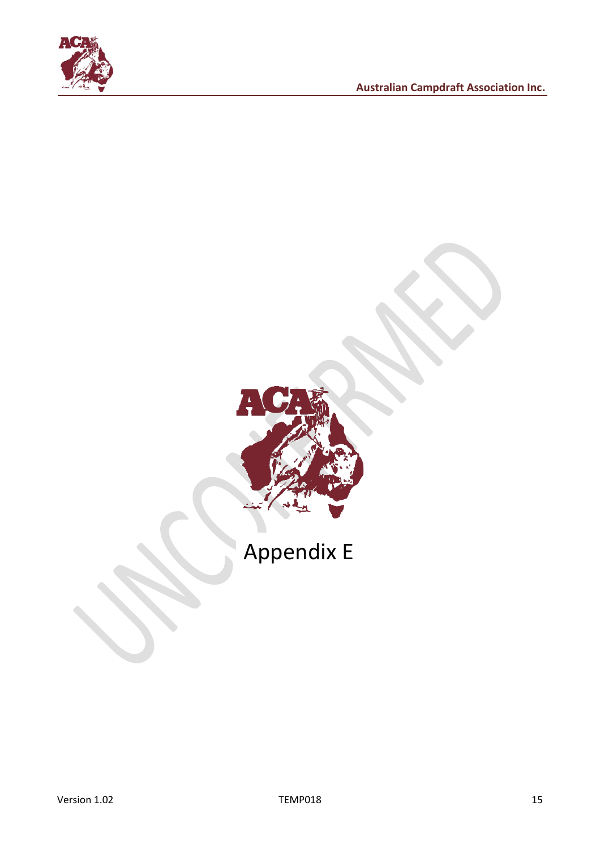

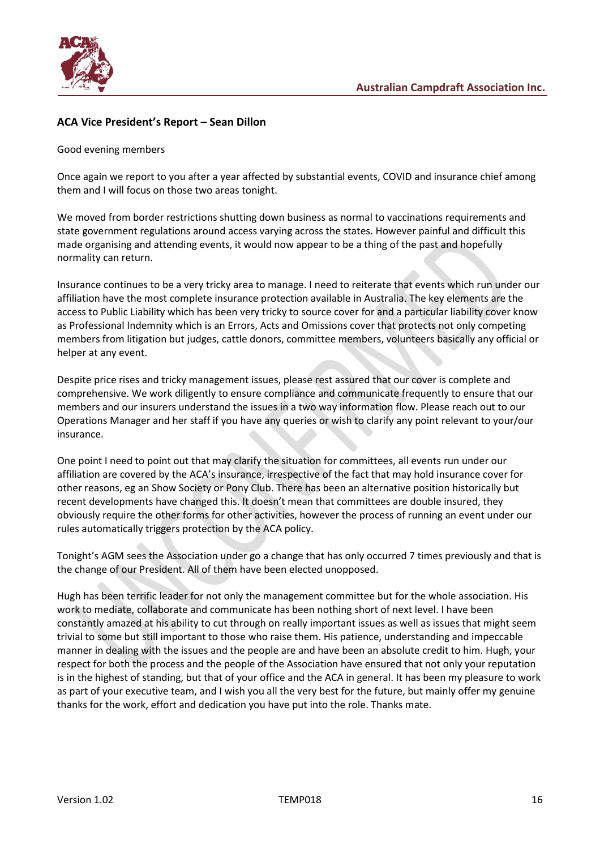

## **ACA Vice President's Report – Sean Dillon**

#### Good evening members

Once again we report to you after a year affected by substantial events, COVID and insurance chief among them and I will focus on those two areas tonight.

We moved from border restrictions shutting down business as normal to vaccinations requirements and state government regulations around access varying across the states. However painful and difficult this made organising and attending events, it would now appear to be a thing of the past and hopefully normality can return.

Insurance continues to be a very tricky area to manage. I need to reiterate that events which run under our affiliation have the most complete insurance protection available in Australia. The key elements are the access to Public Liability which has been very tricky to source cover for and a particular liability cover know as Professional Indemnity which is an Errors, Acts and Omissions cover that protects not only competing members from litigation but judges, cattle donors, committee members, volunteers basically any official or helper at any event.

Despite price rises and tricky management issues, please rest assured that our cover is complete and comprehensive. We work diligently to ensure compliance and communicate frequently to ensure that our members and our insurers understand the issues in a two way information flow. Please reach out to our Operations Manager and her staff if you have any queries or wish to clarify any point relevant to your/our insurance.

One point I need to point out that may clarify the situation for committees, all events run under our affiliation are covered by the ACA's insurance, irrespective of the fact that may hold insurance cover for other reasons, eg an Show Society or Pony Club. There has been an alternative position historically but recent developments have changed this. It doesn't mean that committees are double insured, they obviously require the other forms for other activities, however the process of running an event under our rules automatically triggers protection by the ACA policy.

Tonight's AGM sees the Association under go a change that has only occurred 7 times previously and that is the change of our President. All of them have been elected unopposed.

Hugh has been terrific leader for not only the management committee but for the whole association. His work to mediate, collaborate and communicate has been nothing short of next level. I have been constantly amazed at his ability to cut through on really important issues as well as issues that might seem trivial to some but still important to those who raise them. His patience, understanding and impeccable manner in dealing with the issues and the people are and have been an absolute credit to him. Hugh, your respect for both the process and the people of the Association have ensured that not only your reputation is in the highest of standing, but that of your office and the ACA in general. It has been my pleasure to work as part of your executive team, and I wish you all the very best for the future, but mainly offer my genuine thanks for the work, effort and dedication you have put into the role. Thanks mate.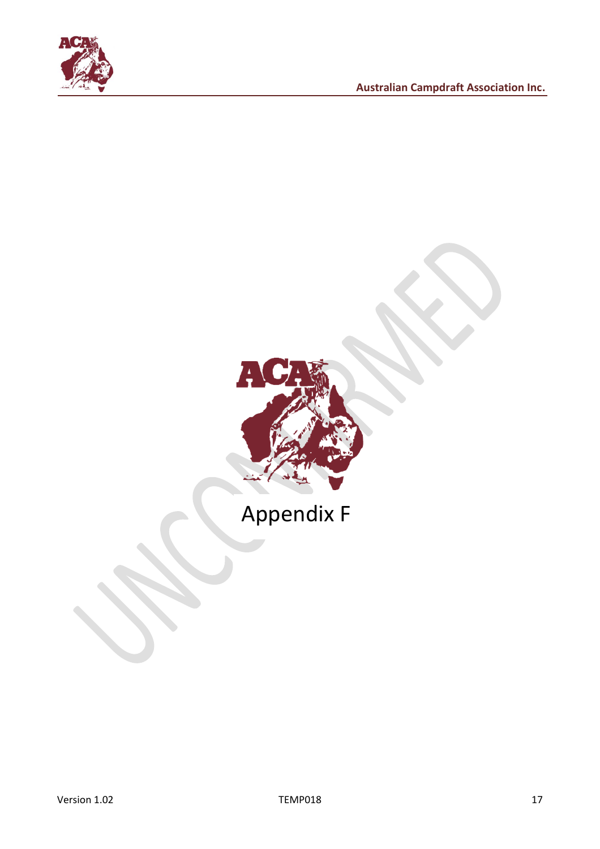



# Appendix F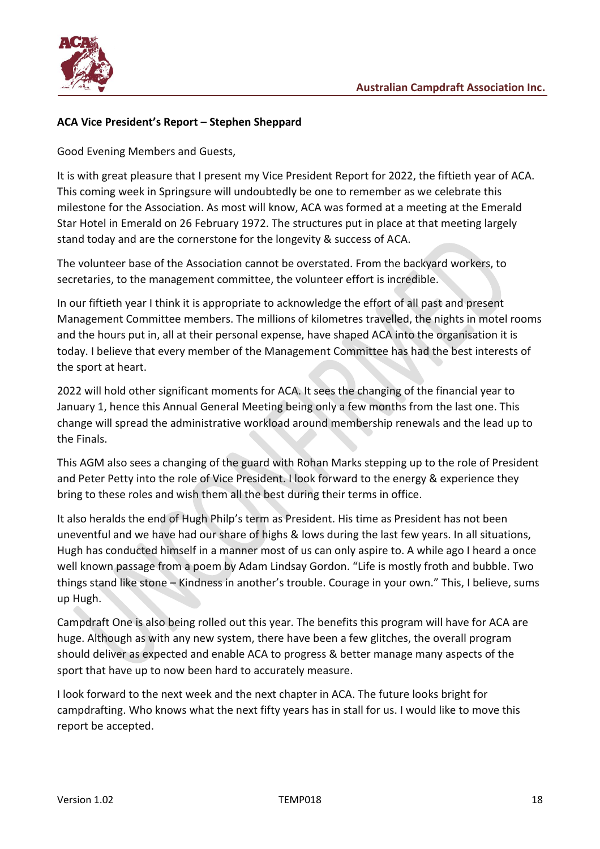

## **ACA Vice President's Report – Stephen Sheppard**

Good Evening Members and Guests,

It is with great pleasure that I present my Vice President Report for 2022, the fiftieth year of ACA. This coming week in Springsure will undoubtedly be one to remember as we celebrate this milestone for the Association. As most will know, ACA was formed at a meeting at the Emerald Star Hotel in Emerald on 26 February 1972. The structures put in place at that meeting largely stand today and are the cornerstone for the longevity & success of ACA.

The volunteer base of the Association cannot be overstated. From the backyard workers, to secretaries, to the management committee, the volunteer effort is incredible.

In our fiftieth year I think it is appropriate to acknowledge the effort of all past and present Management Committee members. The millions of kilometres travelled, the nights in motel rooms and the hours put in, all at their personal expense, have shaped ACA into the organisation it is today. I believe that every member of the Management Committee has had the best interests of the sport at heart.

2022 will hold other significant moments for ACA. It sees the changing of the financial year to January 1, hence this Annual General Meeting being only a few months from the last one. This change will spread the administrative workload around membership renewals and the lead up to the Finals.

This AGM also sees a changing of the guard with Rohan Marks stepping up to the role of President and Peter Petty into the role of Vice President. I look forward to the energy & experience they bring to these roles and wish them all the best during their terms in office.

It also heralds the end of Hugh Philp's term as President. His time as President has not been uneventful and we have had our share of highs & lows during the last few years. In all situations, Hugh has conducted himself in a manner most of us can only aspire to. A while ago I heard a once well known passage from a poem by Adam Lindsay Gordon. "Life is mostly froth and bubble. Two things stand like stone – Kindness in another's trouble. Courage in your own." This, I believe, sums up Hugh.

Campdraft One is also being rolled out this year. The benefits this program will have for ACA are huge. Although as with any new system, there have been a few glitches, the overall program should deliver as expected and enable ACA to progress & better manage many aspects of the sport that have up to now been hard to accurately measure.

I look forward to the next week and the next chapter in ACA. The future looks bright for campdrafting. Who knows what the next fifty years has in stall for us. I would like to move this report be accepted.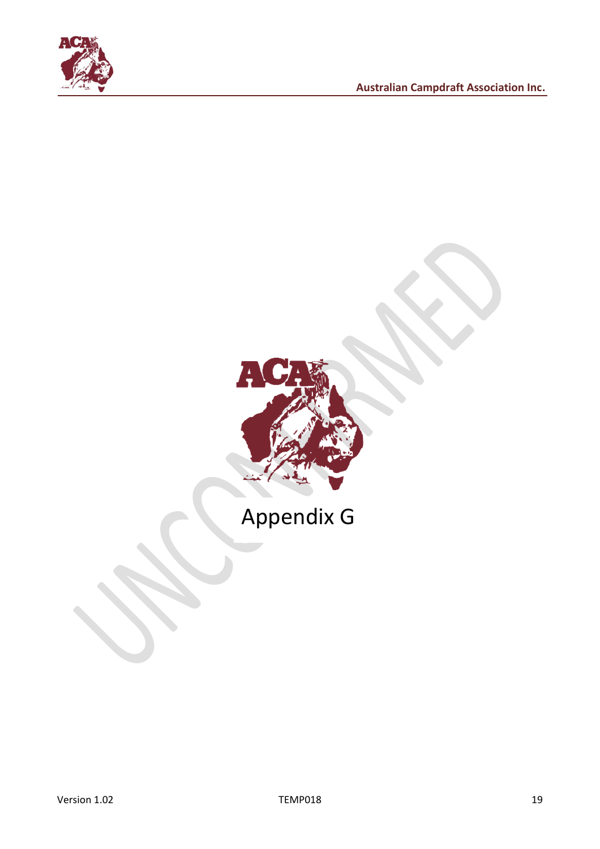



## Appendix G